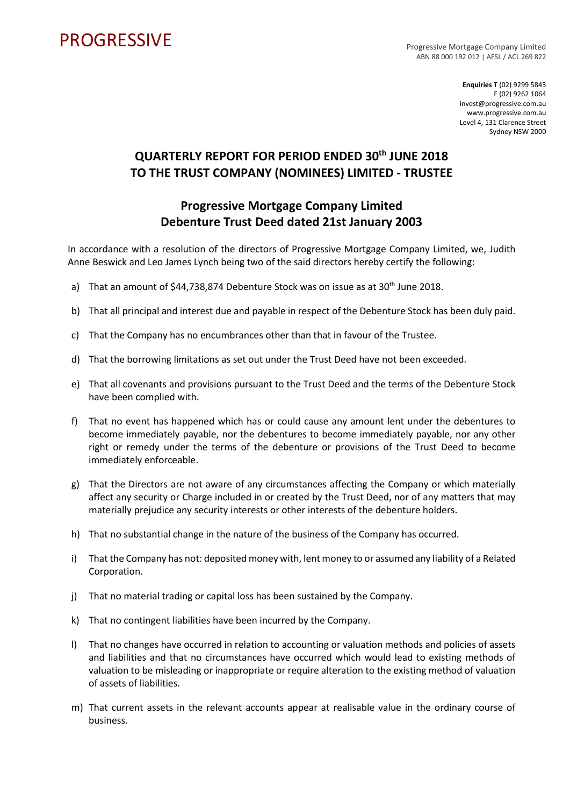## **PROGRESSIVE**

Progressive Mortgage Company Limited ABN 88 000 192 012 | AFSL / ACL 269 822

> **Enquiries** T (02) 9299 5843 F (02) 9262 1064 invest@progressive.com.au www.progressive.com.au Level 4, 131 Clarence Street Sydney NSW 2000

## **QUARTERLY REPORT FOR PERIOD ENDED 30th JUNE 2018 TO THE TRUST COMPANY (NOMINEES) LIMITED - TRUSTEE**

## **Progressive Mortgage Company Limited Debenture Trust Deed dated 21st January 2003**

In accordance with a resolution of the directors of Progressive Mortgage Company Limited, we, Judith Anne Beswick and Leo James Lynch being two of the said directors hereby certify the following:

- a) That an amount of \$44,738,874 Debenture Stock was on issue as at 30<sup>th</sup> June 2018.
- b) That all principal and interest due and payable in respect of the Debenture Stock has been duly paid.
- c) That the Company has no encumbrances other than that in favour of the Trustee.
- d) That the borrowing limitations as set out under the Trust Deed have not been exceeded.
- e) That all covenants and provisions pursuant to the Trust Deed and the terms of the Debenture Stock have been complied with.
- f) That no event has happened which has or could cause any amount lent under the debentures to become immediately payable, nor the debentures to become immediately payable, nor any other right or remedy under the terms of the debenture or provisions of the Trust Deed to become immediately enforceable.
- g) That the Directors are not aware of any circumstances affecting the Company or which materially affect any security or Charge included in or created by the Trust Deed, nor of any matters that may materially prejudice any security interests or other interests of the debenture holders.
- h) That no substantial change in the nature of the business of the Company has occurred.
- i) That the Company has not: deposited money with, lent money to or assumed any liability of a Related Corporation.
- j) That no material trading or capital loss has been sustained by the Company.
- k) That no contingent liabilities have been incurred by the Company.
- l) That no changes have occurred in relation to accounting or valuation methods and policies of assets and liabilities and that no circumstances have occurred which would lead to existing methods of valuation to be misleading or inappropriate or require alteration to the existing method of valuation of assets of liabilities.
- m) That current assets in the relevant accounts appear at realisable value in the ordinary course of business.